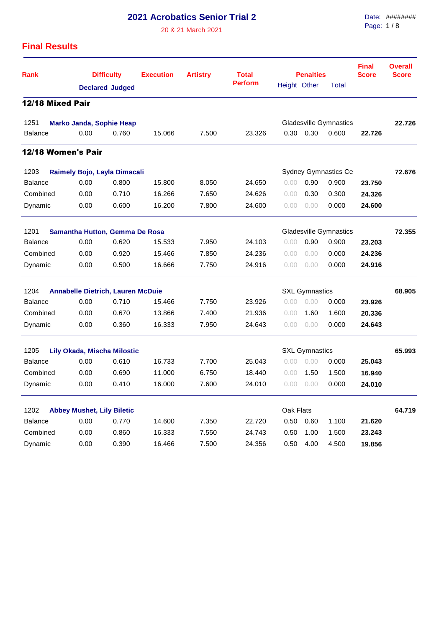## **2021 Acrobatics Senior Trial 2**

20 & 21 March 2021

Date: ######## Page: 1 / 8

## **Final Results**

| <b>Rank</b>                         | <b>Difficulty</b><br><b>Declared Judged</b> |       | <b>Execution</b> | <b>Artistry</b>             | <b>Total</b>   |              | <b>Penalties</b>              | <b>Final</b><br><b>Score</b>  | <b>Overall</b><br><b>Score</b> |        |
|-------------------------------------|---------------------------------------------|-------|------------------|-----------------------------|----------------|--------------|-------------------------------|-------------------------------|--------------------------------|--------|
|                                     |                                             |       |                  |                             | <b>Perform</b> | Height Other |                               | Total                         |                                |        |
| 12/18 Mixed Pair                    |                                             |       |                  |                             |                |              |                               |                               |                                |        |
| 1251                                | <b>Marko Janda, Sophie Heap</b>             |       |                  |                             |                |              | <b>Gladesville Gymnastics</b> |                               | 22.726                         |        |
| <b>Balance</b>                      | 0.00                                        | 0.760 | 15.066           | 7.500                       | 23.326         | 0.30         | 0.30                          | 0.600                         | 22.726                         |        |
| 12/18 Women's Pair                  |                                             |       |                  |                             |                |              |                               |                               |                                |        |
| 1203                                | Raimely Bojo, Layla Dimacali                |       |                  | <b>Sydney Gymnastics Ce</b> | 72.676         |              |                               |                               |                                |        |
| <b>Balance</b>                      | 0.00                                        | 0.800 | 15.800           | 8.050                       | 24.650         | 0.00         | 0.90                          | 0.900                         | 23.750                         |        |
| Combined                            | 0.00                                        | 0.710 | 16.266           | 7.650                       | 24.626         | 0.00         | 0.30                          | 0.300                         | 24.326                         |        |
| Dynamic                             | 0.00                                        | 0.600 | 16.200           | 7.800                       | 24.600         | 0.00         | 0.00                          | 0.000                         | 24.600                         |        |
| 1201                                | Samantha Hutton, Gemma De Rosa              |       |                  |                             |                |              |                               | <b>Gladesville Gymnastics</b> |                                | 72.355 |
| <b>Balance</b>                      | 0.00                                        | 0.620 | 15.533           | 7.950                       | 24.103         | 0.00         | 0.90                          | 0.900                         | 23.203                         |        |
| Combined                            | 0.00                                        | 0.920 | 15.466           | 7.850                       | 24.236         | 0.00         | 0.00                          | 0.000                         | 24.236                         |        |
| Dynamic                             | 0.00                                        | 0.500 | 16.666           | 7.750                       | 24.916         | 0.00         | 0.00                          | 0.000                         | 24.916                         |        |
| 1204                                | <b>Annabelle Dietrich, Lauren McDuie</b>    |       |                  |                             |                |              | <b>SXL Gymnastics</b>         |                               |                                | 68.905 |
| <b>Balance</b>                      | 0.00                                        | 0.710 | 15.466           | 7.750                       | 23.926         | 0.00         | 0.00                          | 0.000                         | 23.926                         |        |
| Combined                            | 0.00                                        | 0.670 | 13.866           | 7.400                       | 21.936         | 0.00         | 1.60                          | 1.600                         | 20.336                         |        |
| Dynamic                             | 0.00                                        | 0.360 | 16.333           | 7.950                       | 24.643         | 0.00         | 0.00                          | 0.000                         | 24.643                         |        |
| 1205<br>Lily Okada, Mischa Milostic | <b>SXL Gymnastics</b>                       |       |                  |                             |                | 65.993       |                               |                               |                                |        |
| <b>Balance</b>                      | 0.00                                        | 0.610 | 16.733           | 7.700                       | 25.043         | 0.00         | 0.00                          | 0.000                         | 25.043                         |        |
| Combined                            | 0.00                                        | 0.690 | 11.000           | 6.750                       | 18.440         | 0.00         | 1.50                          | 1.500                         | 16.940                         |        |
| Dynamic                             | 0.00                                        | 0.410 | 16.000           | 7.600                       | 24.010         | 0.00         | 0.00                          | 0.000                         | 24.010                         |        |
| 1202                                | <b>Abbey Mushet, Lily Biletic</b>           |       |                  |                             |                | Oak Flats    |                               |                               |                                | 64.719 |
| Balance                             | 0.00                                        | 0.770 | 14.600           | 7.350                       | 22.720         | 0.50         | 0.60                          | 1.100                         | 21.620                         |        |
| Combined                            | 0.00                                        | 0.860 | 16.333           | 7.550                       | 24.743         | 0.50         | 1.00                          | 1.500                         | 23.243                         |        |
| Dynamic                             | 0.00                                        | 0.390 | 16.466           | 7.500                       | 24.356         | 0.50         | 4.00                          | 4.500                         | 19.856                         |        |